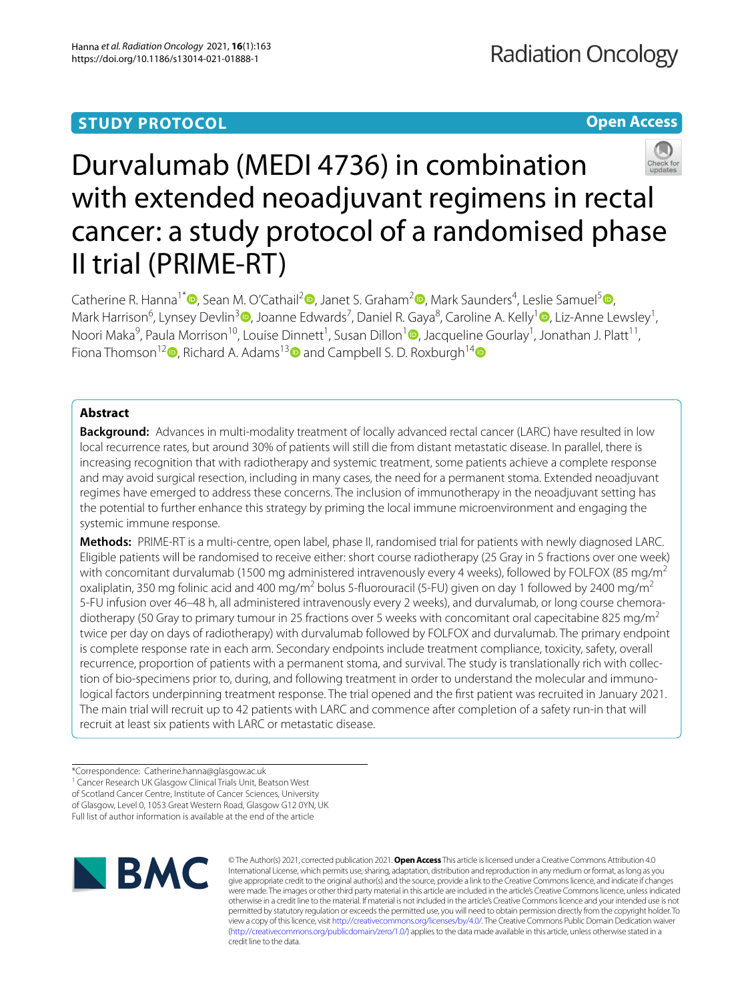# **STUDY PROTOCOL**

**Open Access**

# Durvalumab (MEDI 4736) in combination with extended neoadjuvant regimens in rectal cancer: a study protocol of a randomised phase II trial (PRIME-RT)

Catherine R. Hanna<sup>1\*</sup> <sup>(D</sup>[,](http://orcid.org/0000-0002-8402-8670) Sean M. O'Cathail<sup>[2](http://orcid.org/0000-0001-5574-9199)</sup> <sup>(D</sup>, Janet S. Graham<sup>2</sup> (D, Mark Saunders<sup>4</sup>, Leslie Samuel<sup>5</sup> (D, Mark Harrison<sup>6</sup>[,](http://orcid.org/0000-0002-4047-0686) Lynsey Devlin<sup>3</sup> D, Joanne Edwards<sup>7</sup>, Daniel R. Gaya<sup>8</sup>, Caroline A. Kelly<sup>[1](http://orcid.org/0000-0002-5330-7888)</sup> D, Liz-Anne Lewsley<sup>1</sup>, Noori Maka<sup>9</sup>[,](http://orcid.org/0000-0002-6676-1393) Paula Morrison<sup>10</sup>, Louise Dinnett<sup>1</sup>, Susan Dillon<sup>1</sup> D, Jacqueline Gourlay<sup>1</sup>, Jonathan J. Platt<sup>11</sup>, Fiona Thomson<sup>1[2](http://orcid.org/0000-0002-8987-5369)</sup>  $\bullet$ , Richard A. Adams<sup>1[3](http://orcid.org/0000-0003-3915-7243)</sup> and Campbell S. D. Roxburgh<sup>1[4](http://orcid.org/0000-0002-2649-6695)</sup>  $\bullet$ 

# **Abstract**

**Background:** Advances in multi-modality treatment of locally advanced rectal cancer (LARC) have resulted in low local recurrence rates, but around 30% of patients will still die from distant metastatic disease. In parallel, there is increasing recognition that with radiotherapy and systemic treatment, some patients achieve a complete response and may avoid surgical resection, including in many cases, the need for a permanent stoma. Extended neoadjuvant regimes have emerged to address these concerns. The inclusion of immunotherapy in the neoadjuvant setting has the potential to further enhance this strategy by priming the local immune microenvironment and engaging the systemic immune response.

**Methods:** PRIME-RT is a multi-centre, open label, phase II, randomised trial for patients with newly diagnosed LARC. Eligible patients will be randomised to receive either: short course radiotherapy (25 Gray in 5 fractions over one week) with concomitant durvalumab (1500 mg administered intravenously every 4 weeks), followed by FOLFOX (85 mg/m<sup>2</sup> oxaliplatin, 350 mg folinic acid and 400 mg/m<sup>2</sup> bolus 5-fluorouracil (5-FU) given on day 1 followed by 2400 mg/m<sup>2</sup> 5-FU infusion over 46–48 h, all administered intravenously every 2 weeks), and durvalumab, or long course chemoradiotherapy (50 Gray to primary tumour in 25 fractions over 5 weeks with concomitant oral capecitabine 825 mg/m<sup>2</sup> twice per day on days of radiotherapy) with durvalumab followed by FOLFOX and durvalumab. The primary endpoint is complete response rate in each arm. Secondary endpoints include treatment compliance, toxicity, safety, overall recurrence, proportion of patients with a permanent stoma, and survival. The study is translationally rich with collection of bio-specimens prior to, during, and following treatment in order to understand the molecular and immunological factors underpinning treatment response. The trial opened and the frst patient was recruited in January 2021. The main trial will recruit up to 42 patients with LARC and commence after completion of a safety run-in that will recruit at least six patients with LARC or metastatic disease.

<sup>\*</sup>Correspondence: Catherine.hanna@glasgow.ac.uk <sup>1</sup> Cancer Research UK Glasgow Clinical Trials Unit, Beatson West of Scotland Cancer Centre, Institute of Cancer Sciences, University of Glasgow, Level 0, 1053 Great Western Road, Glasgow G12 0YN, UK Full list of author information is available at the end of the article



© The Author(s) 2021, corrected publication 2021. **Open Access** This article is licensed under a Creative Commons Attribution 4.0 International License, which permits use, sharing, adaptation, distribution and reproduction in any medium or format, as long as you give appropriate credit to the original author(s) and the source, provide a link to the Creative Commons licence, and indicate if changes were made. The images or other third party material in this article are included in the article's Creative Commons licence, unless indicated otherwise in a credit line to the material. If material is not included in the article's Creative Commons licence and your intended use is not permitted by statutory regulation or exceeds the permitted use, you will need to obtain permission directly from the copyright holder. To view a copy of this licence, visit [http://creativecommons.org/licenses/by/4.0/.](http://creativecommons.org/licenses/by/4.0/) The Creative Commons Public Domain Dedication waiver [\(http://creativecommons.org/publicdomain/zero/1.0/\)](http://creativecommons.org/publicdomain/zero/1.0/) applies to the data made available in this article, unless otherwise stated in a credit line to the data.

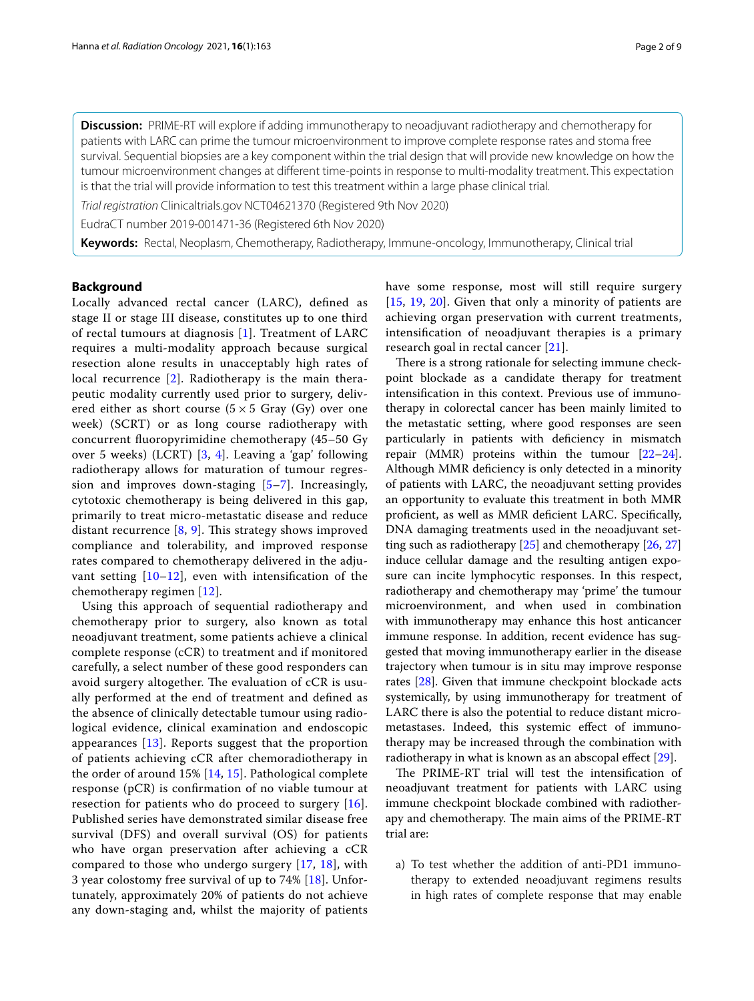**Discussion:** PRIME-RT will explore if adding immunotherapy to neoadjuvant radiotherapy and chemotherapy for patients with LARC can prime the tumour microenvironment to improve complete response rates and stoma free survival. Sequential biopsies are a key component within the trial design that will provide new knowledge on how the tumour microenvironment changes at diferent time-points in response to multi-modality treatment. This expectation is that the trial will provide information to test this treatment within a large phase clinical trial.

*Trial registration* Clinicaltrials.gov NCT04621370 (Registered 9th Nov 2020)

EudraCT number 2019-001471-36 (Registered 6th Nov 2020)

**Keywords:** Rectal, Neoplasm, Chemotherapy, Radiotherapy, Immune-oncology, Immunotherapy, Clinical trial

# **Background**

Locally advanced rectal cancer (LARC), defned as stage II or stage III disease, constitutes up to one third of rectal tumours at diagnosis [\[1](#page-7-0)]. Treatment of LARC requires a multi-modality approach because surgical resection alone results in unacceptably high rates of local recurrence [[2\]](#page-7-1). Radiotherapy is the main therapeutic modality currently used prior to surgery, delivered either as short course  $(5 \times 5 \text{ Gray } (Gy)$  over one week) (SCRT) or as long course radiotherapy with concurrent fuoropyrimidine chemotherapy (45–50 Gy over 5 weeks) (LCRT) [[3](#page-7-2), [4](#page-7-3)]. Leaving a 'gap' following radiotherapy allows for maturation of tumour regression and improves down-staging [\[5](#page-7-4)[–7\]](#page-7-5). Increasingly, cytotoxic chemotherapy is being delivered in this gap, primarily to treat micro-metastatic disease and reduce distant recurrence  $[8, 9]$  $[8, 9]$  $[8, 9]$  $[8, 9]$  $[8, 9]$ . This strategy shows improved compliance and tolerability, and improved response rates compared to chemotherapy delivered in the adjuvant setting  $[10-12]$  $[10-12]$  $[10-12]$ , even with intensification of the chemotherapy regimen [[12\]](#page-7-9).

Using this approach of sequential radiotherapy and chemotherapy prior to surgery, also known as total neoadjuvant treatment, some patients achieve a clinical complete response (cCR) to treatment and if monitored carefully, a select number of these good responders can avoid surgery altogether. The evaluation of cCR is usually performed at the end of treatment and defned as the absence of clinically detectable tumour using radiological evidence, clinical examination and endoscopic appearances  $[13]$  $[13]$ . Reports suggest that the proportion of patients achieving cCR after chemoradiotherapy in the order of around  $15\%$  [\[14](#page-7-11), [15](#page-7-12)]. Pathological complete response (pCR) is confrmation of no viable tumour at resection for patients who do proceed to surgery [[16](#page-7-13)]. Published series have demonstrated similar disease free survival (DFS) and overall survival (OS) for patients who have organ preservation after achieving a cCR compared to those who undergo surgery [\[17](#page-7-14), [18\]](#page-7-15), with 3 year colostomy free survival of up to 74% [[18\]](#page-7-15). Unfortunately, approximately 20% of patients do not achieve any down-staging and, whilst the majority of patients have some response, most will still require surgery [[15](#page-7-12), [19,](#page-7-16) [20\]](#page-7-17). Given that only a minority of patients are achieving organ preservation with current treatments, intensifcation of neoadjuvant therapies is a primary research goal in rectal cancer [\[21\]](#page-7-18).

There is a strong rationale for selecting immune checkpoint blockade as a candidate therapy for treatment intensifcation in this context. Previous use of immunotherapy in colorectal cancer has been mainly limited to the metastatic setting, where good responses are seen particularly in patients with defciency in mismatch repair (MMR) proteins within the tumour [[22](#page-7-19)[–24](#page-8-0)]. Although MMR defciency is only detected in a minority of patients with LARC, the neoadjuvant setting provides an opportunity to evaluate this treatment in both MMR proficient, as well as MMR deficient LARC. Specifically, DNA damaging treatments used in the neoadjuvant setting such as radiotherapy [\[25](#page-8-1)] and chemotherapy [[26,](#page-8-2) [27](#page-8-3)] induce cellular damage and the resulting antigen exposure can incite lymphocytic responses. In this respect, radiotherapy and chemotherapy may 'prime' the tumour microenvironment, and when used in combination with immunotherapy may enhance this host anticancer immune response. In addition, recent evidence has suggested that moving immunotherapy earlier in the disease trajectory when tumour is in situ may improve response rates [[28\]](#page-8-4). Given that immune checkpoint blockade acts systemically, by using immunotherapy for treatment of LARC there is also the potential to reduce distant micrometastases. Indeed, this systemic efect of immunotherapy may be increased through the combination with radiotherapy in what is known as an abscopal effect [\[29](#page-8-5)].

The PRIME-RT trial will test the intensification of neoadjuvant treatment for patients with LARC using immune checkpoint blockade combined with radiotherapy and chemotherapy. The main aims of the PRIME-RT trial are:

a) To test whether the addition of anti-PD1 immunotherapy to extended neoadjuvant regimens results in high rates of complete response that may enable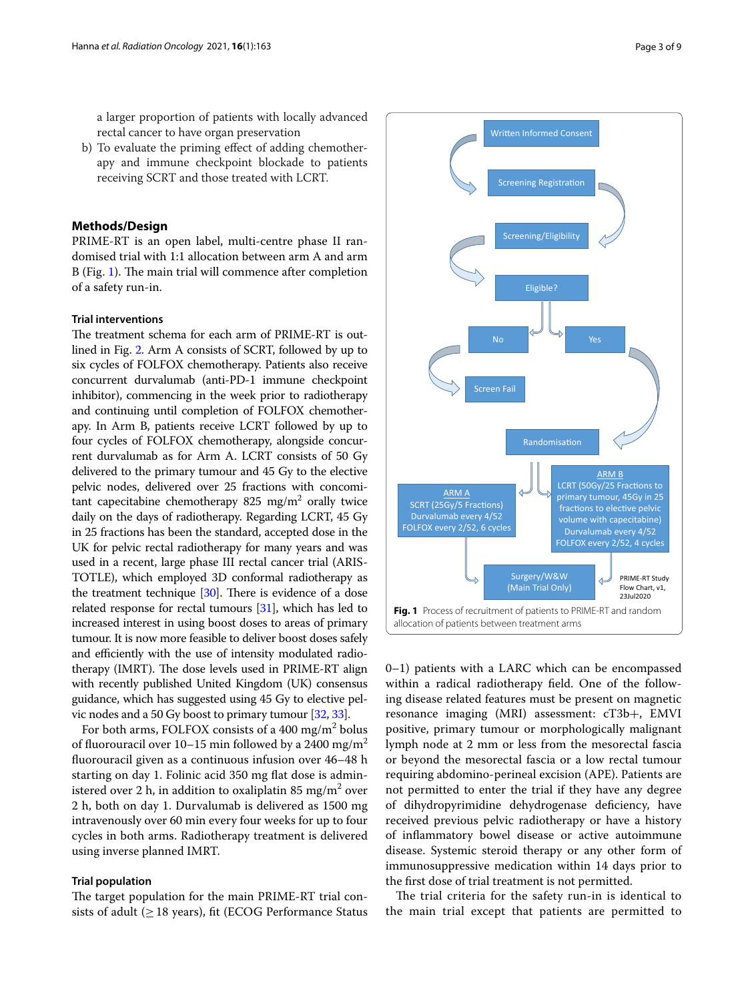a larger proportion of patients with locally advanced rectal cancer to have organ preservation

b) To evaluate the priming efect of adding chemotherapy and immune checkpoint blockade to patients receiving SCRT and those treated with LCRT.

# **Methods/Design**

PRIME-RT is an open label, multi-centre phase II randomised trial with 1:1 allocation between arm A and arm B (Fig. [1](#page-2-0)). The main trial will commence after completion of a safety run-in.

#### **Trial interventions**

The treatment schema for each arm of PRIME-RT is outlined in Fig. [2.](#page-3-0) Arm A consists of SCRT, followed by up to six cycles of FOLFOX chemotherapy. Patients also receive concurrent durvalumab (anti-PD-1 immune checkpoint inhibitor), commencing in the week prior to radiotherapy and continuing until completion of FOLFOX chemotherapy. In Arm B, patients receive LCRT followed by up to four cycles of FOLFOX chemotherapy, alongside concurrent durvalumab as for Arm A. LCRT consists of 50 Gy delivered to the primary tumour and 45 Gy to the elective pelvic nodes, delivered over 25 fractions with concomitant capecitabine chemotherapy 825  $\text{mg/m}^2$  orally twice daily on the days of radiotherapy. Regarding LCRT, 45 Gy in 25 fractions has been the standard, accepted dose in the UK for pelvic rectal radiotherapy for many years and was used in a recent, large phase III rectal cancer trial (ARIS-TOTLE), which employed 3D conformal radiotherapy as the treatment technique  $[30]$ . There is evidence of a dose related response for rectal tumours [\[31\]](#page-8-7), which has led to increased interest in using boost doses to areas of primary tumour. It is now more feasible to deliver boost doses safely and efficiently with the use of intensity modulated radiotherapy (IMRT). The dose levels used in PRIME-RT align with recently published United Kingdom (UK) consensus guidance, which has suggested using 45 Gy to elective pelvic nodes and a 50 Gy boost to primary tumour [\[32,](#page-8-8) [33\]](#page-8-9).

For both arms, FOLFOX consists of a 400 mg/m<sup>2</sup> bolus of fluorouracil over 10–15 min followed by a 2400 mg/m<sup>2</sup> fuorouracil given as a continuous infusion over 46–48 h starting on day 1. Folinic acid 350 mg fat dose is administered over 2 h, in addition to oxaliplatin 85 mg/m $^2$  over 2 h, both on day 1. Durvalumab is delivered as 1500 mg intravenously over 60 min every four weeks for up to four cycles in both arms. Radiotherapy treatment is delivered using inverse planned IMRT.

## **Trial population**

The target population for the main PRIME-RT trial consists of adult ( $\geq$  18 years), fit (ECOG Performance Status

creening Registration Screening/Eligibility Eligible? Screen Fail

Written Informed Consent



<span id="page-2-0"></span>allocation of patients between treatment arms

0–1) patients with a LARC which can be encompassed within a radical radiotherapy feld. One of the following disease related features must be present on magnetic resonance imaging (MRI) assessment: cT3b+, EMVI positive, primary tumour or morphologically malignant lymph node at 2 mm or less from the mesorectal fascia or beyond the mesorectal fascia or a low rectal tumour requiring abdomino-perineal excision (APE). Patients are not permitted to enter the trial if they have any degree of dihydropyrimidine dehydrogenase defciency, have received previous pelvic radiotherapy or have a history of infammatory bowel disease or active autoimmune disease. Systemic steroid therapy or any other form of immunosuppressive medication within 14 days prior to the frst dose of trial treatment is not permitted.

The trial criteria for the safety run-in is identical to the main trial except that patients are permitted to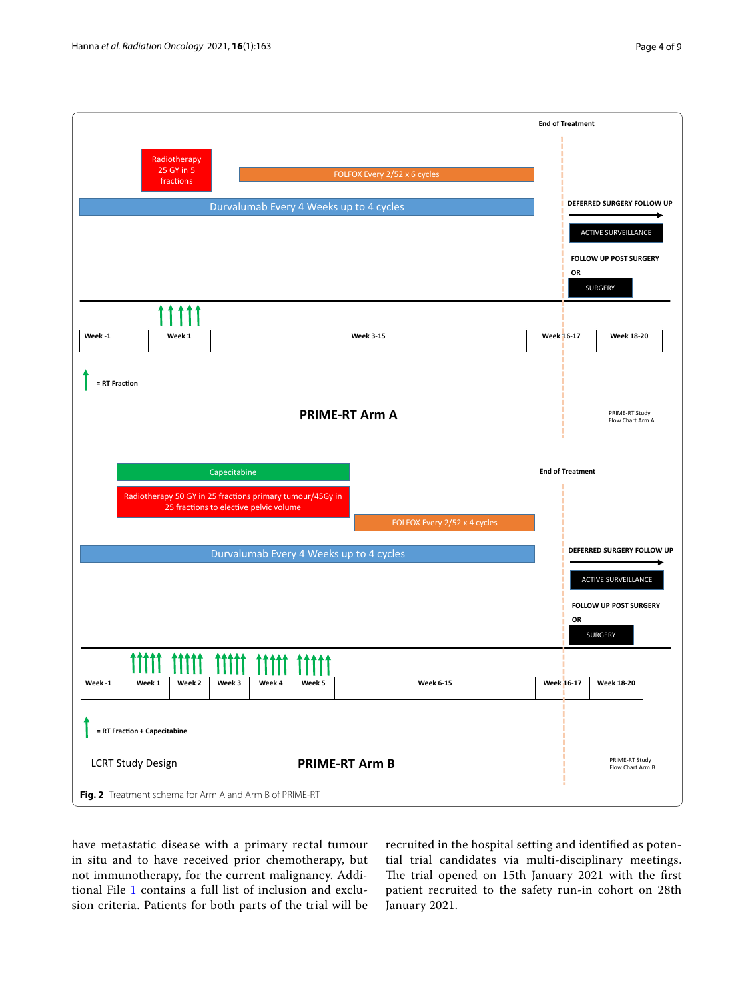

<span id="page-3-0"></span>have metastatic disease with a primary rectal tumour in situ and to have received prior chemotherapy, but not immunotherapy, for the current malignancy. Additional File [1](#page-6-0) contains a full list of inclusion and exclusion criteria. Patients for both parts of the trial will be

recruited in the hospital setting and identifed as potential trial candidates via multi-disciplinary meetings. The trial opened on 15th January 2021 with the first patient recruited to the safety run-in cohort on 28th January 2021.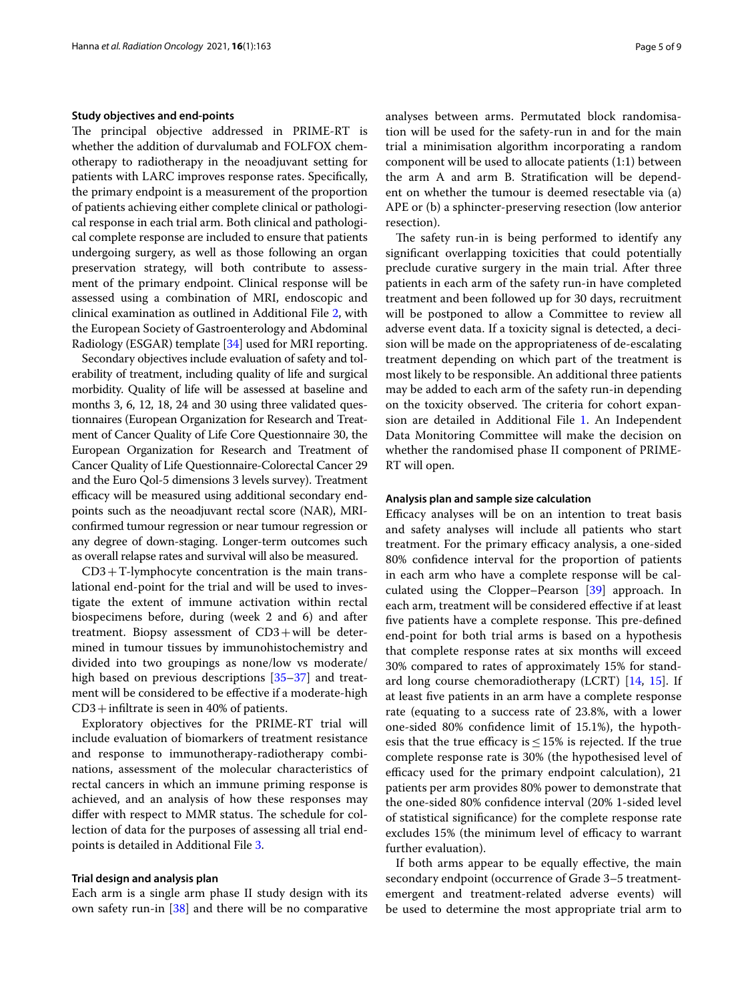#### **Study objectives and end‑points**

The principal objective addressed in PRIME-RT is whether the addition of durvalumab and FOLFOX chemotherapy to radiotherapy in the neoadjuvant setting for patients with LARC improves response rates. Specifcally, the primary endpoint is a measurement of the proportion of patients achieving either complete clinical or pathological response in each trial arm. Both clinical and pathological complete response are included to ensure that patients undergoing surgery, as well as those following an organ preservation strategy, will both contribute to assessment of the primary endpoint. Clinical response will be assessed using a combination of MRI, endoscopic and clinical examination as outlined in Additional File [2](#page-6-1), with the European Society of Gastroenterology and Abdominal Radiology (ESGAR) template [\[34\]](#page-8-10) used for MRI reporting.

Secondary objectives include evaluation of safety and tolerability of treatment, including quality of life and surgical morbidity. Quality of life will be assessed at baseline and months 3, 6, 12, 18, 24 and 30 using three validated questionnaires (European Organization for Research and Treatment of Cancer Quality of Life Core Questionnaire 30, the European Organization for Research and Treatment of Cancer Quality of Life Questionnaire-Colorectal Cancer 29 and the Euro Qol-5 dimensions 3 levels survey). Treatment efficacy will be measured using additional secondary endpoints such as the neoadjuvant rectal score (NAR), MRIconfrmed tumour regression or near tumour regression or any degree of down-staging. Longer-term outcomes such as overall relapse rates and survival will also be measured.

 $CD3+T$ -lymphocyte concentration is the main translational end-point for the trial and will be used to investigate the extent of immune activation within rectal biospecimens before, during (week 2 and 6) and after treatment. Biopsy assessment of CD3+will be determined in tumour tissues by immunohistochemistry and divided into two groupings as none/low vs moderate/ high based on previous descriptions [[35](#page-8-11)[–37](#page-8-12)] and treatment will be considered to be efective if a moderate-high  $CD3 +$ infiltrate is seen in 40% of patients.

Exploratory objectives for the PRIME-RT trial will include evaluation of biomarkers of treatment resistance and response to immunotherapy-radiotherapy combinations, assessment of the molecular characteristics of rectal cancers in which an immune priming response is achieved, and an analysis of how these responses may differ with respect to MMR status. The schedule for collection of data for the purposes of assessing all trial endpoints is detailed in Additional File [3](#page-6-2).

#### **Trial design and analysis plan**

Each arm is a single arm phase II study design with its own safety run-in [[38\]](#page-8-13) and there will be no comparative analyses between arms. Permutated block randomisation will be used for the safety-run in and for the main trial a minimisation algorithm incorporating a random component will be used to allocate patients (1:1) between the arm A and arm B. Stratifcation will be dependent on whether the tumour is deemed resectable via (a) APE or (b) a sphincter-preserving resection (low anterior resection).

The safety run-in is being performed to identify any signifcant overlapping toxicities that could potentially preclude curative surgery in the main trial. After three patients in each arm of the safety run-in have completed treatment and been followed up for 30 days, recruitment will be postponed to allow a Committee to review all adverse event data. If a toxicity signal is detected, a decision will be made on the appropriateness of de-escalating treatment depending on which part of the treatment is most likely to be responsible. An additional three patients may be added to each arm of the safety run-in depending on the toxicity observed. The criteria for cohort expansion are detailed in Additional File [1](#page-6-0). An Independent Data Monitoring Committee will make the decision on whether the randomised phase II component of PRIME-RT will open.

#### **Analysis plan and sample size calculation**

Efficacy analyses will be on an intention to treat basis and safety analyses will include all patients who start treatment. For the primary efficacy analysis, a one-sided 80% confdence interval for the proportion of patients in each arm who have a complete response will be calculated using the Clopper–Pearson [[39\]](#page-8-14) approach. In each arm, treatment will be considered efective if at least five patients have a complete response. This pre-defined end-point for both trial arms is based on a hypothesis that complete response rates at six months will exceed 30% compared to rates of approximately 15% for standard long course chemoradiotherapy (LCRT) [\[14,](#page-7-11) [15\]](#page-7-12). If at least fve patients in an arm have a complete response rate (equating to a success rate of 23.8%, with a lower one-sided 80% confdence limit of 15.1%), the hypothesis that the true efficacy is  $\leq$  15% is rejected. If the true complete response rate is 30% (the hypothesised level of efficacy used for the primary endpoint calculation), 21 patients per arm provides 80% power to demonstrate that the one-sided 80% confdence interval (20% 1-sided level of statistical signifcance) for the complete response rate excludes 15% (the minimum level of efficacy to warrant further evaluation).

If both arms appear to be equally efective, the main secondary endpoint (occurrence of Grade 3–5 treatmentemergent and treatment-related adverse events) will be used to determine the most appropriate trial arm to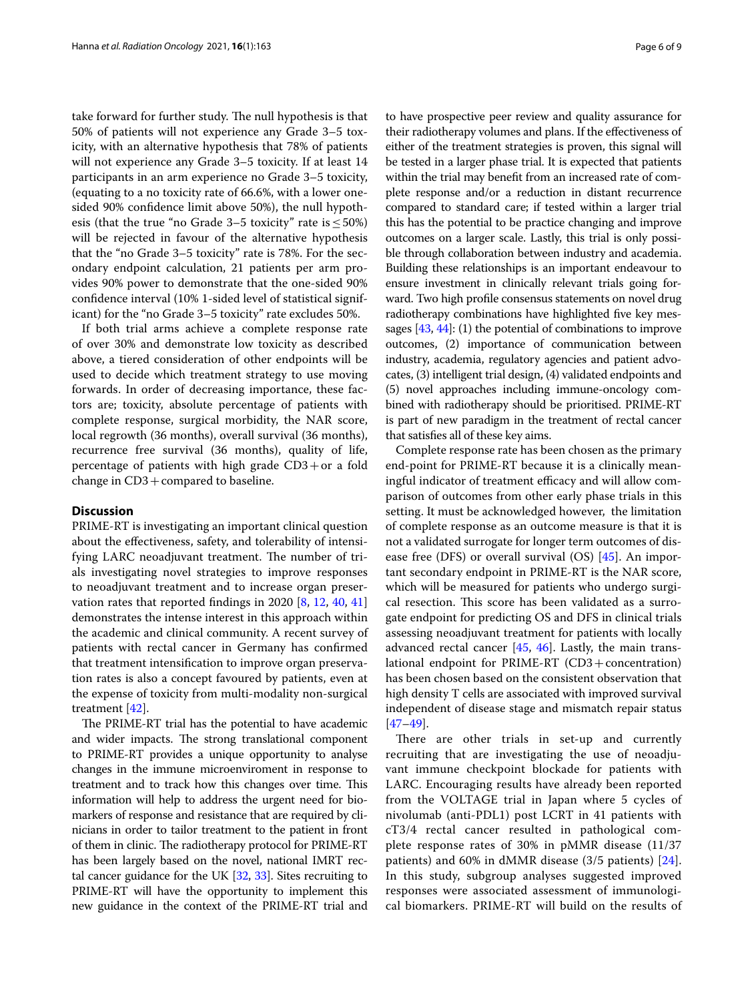take forward for further study. The null hypothesis is that 50% of patients will not experience any Grade 3–5 toxicity, with an alternative hypothesis that 78% of patients will not experience any Grade 3–5 toxicity. If at least 14 participants in an arm experience no Grade 3–5 toxicity, (equating to a no toxicity rate of 66.6%, with a lower onesided 90% confdence limit above 50%), the null hypothesis (that the true "no Grade 3–5 toxicity" rate is  $\leq$  50%) will be rejected in favour of the alternative hypothesis that the "no Grade 3–5 toxicity" rate is 78%. For the secondary endpoint calculation, 21 patients per arm provides 90% power to demonstrate that the one-sided 90% confdence interval (10% 1-sided level of statistical significant) for the "no Grade 3–5 toxicity" rate excludes 50%.

If both trial arms achieve a complete response rate of over 30% and demonstrate low toxicity as described above, a tiered consideration of other endpoints will be used to decide which treatment strategy to use moving forwards. In order of decreasing importance, these factors are; toxicity, absolute percentage of patients with complete response, surgical morbidity, the NAR score, local regrowth (36 months), overall survival (36 months), recurrence free survival (36 months), quality of life, percentage of patients with high grade  $CD3 + or$  a fold change in  $CD3 + compared$  to baseline.

# **Discussion**

PRIME-RT is investigating an important clinical question about the efectiveness, safety, and tolerability of intensifying LARC neoadjuvant treatment. The number of trials investigating novel strategies to improve responses to neoadjuvant treatment and to increase organ preservation rates that reported fndings in 2020 [[8,](#page-7-6) [12](#page-7-9), [40](#page-8-15), [41](#page-8-16)] demonstrates the intense interest in this approach within the academic and clinical community. A recent survey of patients with rectal cancer in Germany has confrmed that treatment intensifcation to improve organ preservation rates is also a concept favoured by patients, even at the expense of toxicity from multi-modality non-surgical treatment [[42](#page-8-17)].

The PRIME-RT trial has the potential to have academic and wider impacts. The strong translational component to PRIME-RT provides a unique opportunity to analyse changes in the immune microenviroment in response to treatment and to track how this changes over time. This information will help to address the urgent need for biomarkers of response and resistance that are required by clinicians in order to tailor treatment to the patient in front of them in clinic. The radiotherapy protocol for PRIME-RT has been largely based on the novel, national IMRT rectal cancer guidance for the UK [[32](#page-8-8), [33\]](#page-8-9). Sites recruiting to PRIME-RT will have the opportunity to implement this new guidance in the context of the PRIME-RT trial and to have prospective peer review and quality assurance for their radiotherapy volumes and plans. If the efectiveness of either of the treatment strategies is proven, this signal will be tested in a larger phase trial. It is expected that patients within the trial may beneft from an increased rate of complete response and/or a reduction in distant recurrence compared to standard care; if tested within a larger trial this has the potential to be practice changing and improve outcomes on a larger scale. Lastly, this trial is only possible through collaboration between industry and academia. Building these relationships is an important endeavour to ensure investment in clinically relevant trials going forward. Two high profle consensus statements on novel drug radiotherapy combinations have highlighted five key messages  $[43, 44]$  $[43, 44]$  $[43, 44]$  $[43, 44]$ : (1) the potential of combinations to improve outcomes, (2) importance of communication between industry, academia, regulatory agencies and patient advocates, (3) intelligent trial design, (4) validated endpoints and (5) novel approaches including immune-oncology combined with radiotherapy should be prioritised. PRIME-RT is part of new paradigm in the treatment of rectal cancer that satisfes all of these key aims.

Complete response rate has been chosen as the primary end-point for PRIME-RT because it is a clinically meaningful indicator of treatment efficacy and will allow comparison of outcomes from other early phase trials in this setting. It must be acknowledged however, the limitation of complete response as an outcome measure is that it is not a validated surrogate for longer term outcomes of disease free (DFS) or overall survival (OS) [[45\]](#page-8-20). An important secondary endpoint in PRIME-RT is the NAR score, which will be measured for patients who undergo surgical resection. This score has been validated as a surrogate endpoint for predicting OS and DFS in clinical trials assessing neoadjuvant treatment for patients with locally advanced rectal cancer [[45,](#page-8-20) [46\]](#page-8-21). Lastly, the main translational endpoint for PRIME-RT (CD3+concentration) has been chosen based on the consistent observation that high density T cells are associated with improved survival independent of disease stage and mismatch repair status [[47–](#page-8-22)[49\]](#page-8-23).

There are other trials in set-up and currently recruiting that are investigating the use of neoadjuvant immune checkpoint blockade for patients with LARC. Encouraging results have already been reported from the VOLTAGE trial in Japan where 5 cycles of nivolumab (anti-PDL1) post LCRT in 41 patients with cT3/4 rectal cancer resulted in pathological complete response rates of 30% in pMMR disease (11/37 patients) and 60% in dMMR disease (3/5 patients) [[24](#page-8-0)]. In this study, subgroup analyses suggested improved responses were associated assessment of immunological biomarkers. PRIME-RT will build on the results of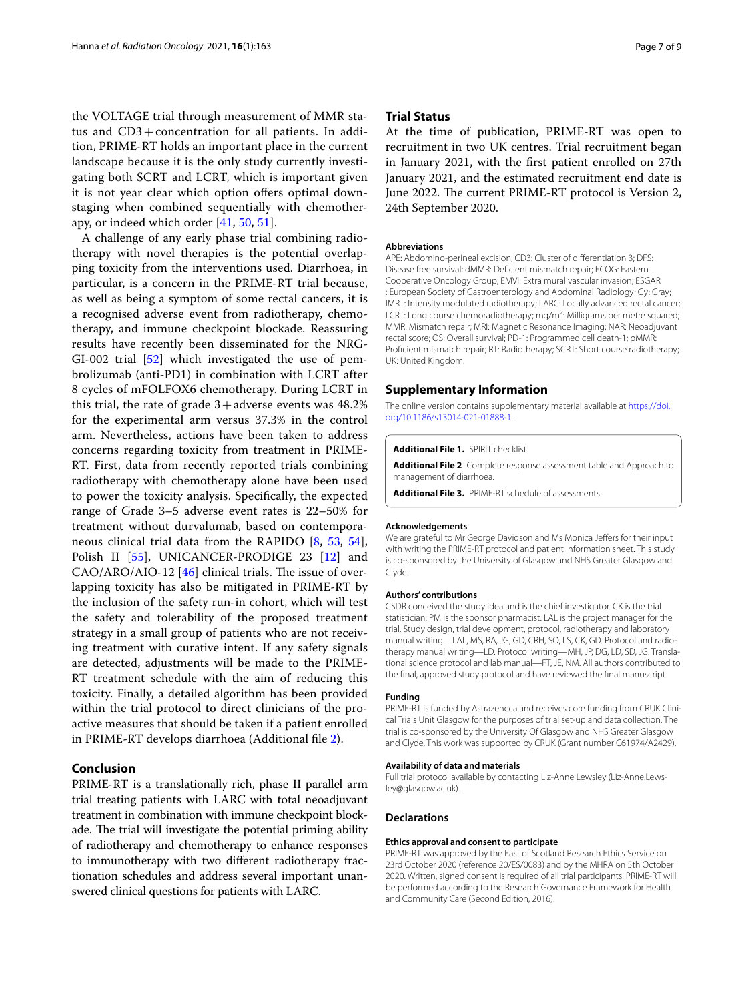the VOLTAGE trial through measurement of MMR status and CD3+concentration for all patients. In addition, PRIME-RT holds an important place in the current landscape because it is the only study currently investigating both SCRT and LCRT, which is important given it is not year clear which option offers optimal downstaging when combined sequentially with chemotherapy, or indeed which order [[41,](#page-8-16) [50,](#page-8-24) [51](#page-8-25)].

A challenge of any early phase trial combining radiotherapy with novel therapies is the potential overlapping toxicity from the interventions used. Diarrhoea, in particular, is a concern in the PRIME-RT trial because, as well as being a symptom of some rectal cancers, it is a recognised adverse event from radiotherapy, chemotherapy, and immune checkpoint blockade. Reassuring results have recently been disseminated for the NRG-GI-002 trial [\[52](#page-8-26)] which investigated the use of pembrolizumab (anti-PD1) in combination with LCRT after 8 cycles of mFOLFOX6 chemotherapy. During LCRT in this trial, the rate of grade  $3+$ adverse events was  $48.2%$ for the experimental arm versus 37.3% in the control arm. Nevertheless, actions have been taken to address concerns regarding toxicity from treatment in PRIME-RT. First, data from recently reported trials combining radiotherapy with chemotherapy alone have been used to power the toxicity analysis. Specifcally, the expected range of Grade 3–5 adverse event rates is 22–50% for treatment without durvalumab, based on contemporaneous clinical trial data from the RAPIDO [[8,](#page-7-6) [53,](#page-8-27) [54](#page-8-28)], Polish II [[55\]](#page-8-29), UNICANCER-PRODIGE 23 [[12\]](#page-7-9) and  $CAO/ARO/AlO-12$  [[46\]](#page-8-21) clinical trials. The issue of overlapping toxicity has also be mitigated in PRIME-RT by the inclusion of the safety run-in cohort, which will test the safety and tolerability of the proposed treatment strategy in a small group of patients who are not receiving treatment with curative intent. If any safety signals are detected, adjustments will be made to the PRIME-RT treatment schedule with the aim of reducing this toxicity. Finally, a detailed algorithm has been provided within the trial protocol to direct clinicians of the proactive measures that should be taken if a patient enrolled in PRIME-RT develops diarrhoea (Additional fle [2\)](#page-6-1).

## **Conclusion**

PRIME-RT is a translationally rich, phase II parallel arm trial treating patients with LARC with total neoadjuvant treatment in combination with immune checkpoint blockade. The trial will investigate the potential priming ability of radiotherapy and chemotherapy to enhance responses to immunotherapy with two diferent radiotherapy fractionation schedules and address several important unanswered clinical questions for patients with LARC.

## **Trial Status**

At the time of publication, PRIME-RT was open to recruitment in two UK centres. Trial recruitment began in January 2021, with the frst patient enrolled on 27th January 2021, and the estimated recruitment end date is June 2022. The current PRIME-RT protocol is Version 2, 24th September 2020.

#### **Abbreviations**

APE: Abdomino-perineal excision; CD3: Cluster of diferentiation 3; DFS: Disease free survival; dMMR: Defcient mismatch repair; ECOG: Eastern Cooperative Oncology Group; EMVI: Extra mural vascular invasion; ESGAR : European Society of Gastroenterology and Abdominal Radiology; Gy: Gray; IMRT: Intensity modulated radiotherapy; LARC: Locally advanced rectal cancer; LCRT: Long course chemoradiotherapy; mg/m<sup>2</sup>: Milligrams per metre squared; MMR: Mismatch repair; MRI: Magnetic Resonance Imaging; NAR: Neoadjuvant rectal score; OS: Overall survival; PD-1: Programmed cell death-1; pMMR: Profcient mismatch repair; RT: Radiotherapy; SCRT: Short course radiotherapy; UK: United Kingdom.

#### **Supplementary Information**

The online version contains supplementary material available at [https://doi.](https://doi.org/10.1186/s13014-021-01888-1) [org/10.1186/s13014-021-01888-1](https://doi.org/10.1186/s13014-021-01888-1).

#### <span id="page-6-1"></span><span id="page-6-0"></span>**Additional File 1.** SPIRIT checklist.

<span id="page-6-2"></span>**Additional File 2** Complete response assessment table and Approach to management of diarrhoea.

**Additional File 3.** PRIME-RT schedule of assessments.

#### **Acknowledgements**

We are grateful to Mr George Davidson and Ms Monica Jeffers for their input with writing the PRIME-RT protocol and patient information sheet. This study is co-sponsored by the University of Glasgow and NHS Greater Glasgow and Clyde.

#### **Authors' contributions**

CSDR conceived the study idea and is the chief investigator. CK is the trial statistician. PM is the sponsor pharmacist. LAL is the project manager for the trial. Study design, trial development, protocol, radiotherapy and laboratory manual writing—LAL, MS, RA, JG, GD, CRH, SO, LS, CK, GD. Protocol and radiotherapy manual writing—LD. Protocol writing—MH, JP, DG, LD, SD, JG. Transla‑ tional science protocol and lab manual—FT, JE, NM. All authors contributed to the fnal, approved study protocol and have reviewed the fnal manuscript.

#### **Funding**

PRIME-RT is funded by Astrazeneca and receives core funding from CRUK Clini‑ cal Trials Unit Glasgow for the purposes of trial set-up and data collection. The trial is co-sponsored by the University Of Glasgow and NHS Greater Glasgow and Clyde. This work was supported by CRUK (Grant number C61974/A2429).

#### **Availability of data and materials**

Full trial protocol available by contacting Liz-Anne Lewsley (Liz-Anne.Lewsley@glasgow.ac.uk).

#### **Declarations**

#### **Ethics approval and consent to participate**

PRIME-RT was approved by the East of Scotland Research Ethics Service on 23rd October 2020 (reference 20/ES/0083) and by the MHRA on 5th October 2020. Written, signed consent is required of all trial participants. PRIME-RT will be performed according to the Research Governance Framework for Health and Community Care (Second Edition, 2016).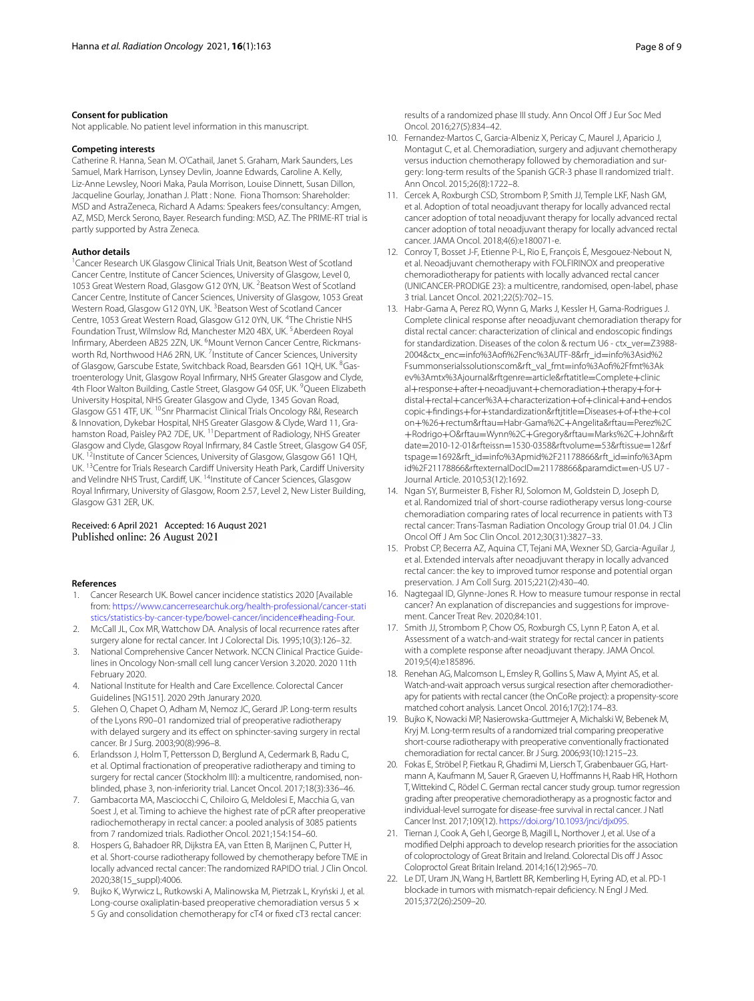#### **Consent for publication**

Not applicable. No patient level information in this manuscript.

#### **Competing interests**

Catherine R. Hanna, Sean M. O'Cathail, Janet S. Graham, Mark Saunders, Les Samuel, Mark Harrison, Lynsey Devlin, Joanne Edwards, Caroline A. Kelly, Liz-Anne Lewsley, Noori Maka, Paula Morrison, Louise Dinnett, Susan Dillon, Jacqueline Gourlay, Jonathan J. Platt : None. Fiona Thomson: Shareholder: MSD and AstraZeneca, Richard A Adams: Speakers fees/consultancy: Amgen, AZ, MSD, Merck Serono, Bayer. Research funding: MSD, AZ. The PRIME-RT trial is partly supported by Astra Zeneca.

#### **Author details**

<sup>1</sup> Cancer Research UK Glasgow Clinical Trials Unit, Beatson West of Scotland Cancer Centre, Institute of Cancer Sciences, University of Glasgow, Level 0, 1053 Great Western Road, Glasgow G12 0YN, UK. <sup>2</sup> Beatson West of Scotland Cancer Centre, Institute of Cancer Sciences, University of Glasgow, 1053 Great Western Road, Glasgow G12 0YN, UK.<sup>3</sup> Beatson West of Scotland Cancer Centre, 1053 Great Western Road, Glasgow G12 0YN, UK. <sup>4</sup>The Christie NHS Foundation Trust, Wilmslow Rd, Manchester M20 4BX, UK.<sup>5</sup> Aberdeen Royal Infirmary, Aberdeen AB25 2ZN, UK. <sup>6</sup>Mount Vernon Cancer Centre, Rickmansworth Rd, Northwood HA6 2RN, UK. <sup>7</sup>Institute of Cancer Sciences, University of Glasgow, Garscube Estate, Switchback Road, Bearsden G61 1QH, UK. <sup>8</sup>Gastroenterology Unit, Glasgow Royal Infrmary, NHS Greater Glasgow and Clyde, 4th Floor Walton Building, Castle Street, Glasgow G4 0SF, UK. <sup>9</sup>Queen Elizabeth University Hospital, NHS Greater Glasgow and Clyde, 1345 Govan Road, Glasgow G51 4TF, UK. <sup>10</sup>Snr Pharmacist Clinical Trials Oncology R&I, Research & Innovation, Dykebar Hospital, NHS Greater Glasgow & Clyde, Ward 11, Grahamston Road, Paisley PA2 7DE, UK.<sup>11</sup> Department of Radiology, NHS Greater Glasgow and Clyde, Glasgow Royal Infrmary, 84 Castle Street, Glasgow G4 0SF, UK.<sup>12</sup>Institute of Cancer Sciences, University of Glasgow, Glasgow G61 1QH, UK. <sup>13</sup> Centre for Trials Research Cardiff University Heath Park, Cardiff University and Velindre NHS Trust, Cardiff, UK.<sup>14</sup>Institute of Cancer Sciences, Glasgow Royal Infrmary, University of Glasgow, Room 2.57, Level 2, New Lister Building, Glasgow G31 2ER, UK.

# Received: 6 April 2021 Accepted: 16 August 2021

#### **References**

- <span id="page-7-0"></span>1. Cancer Research UK. Bowel cancer incidence statistics 2020 [Available from: [https://www.cancerresearchuk.org/health-professional/cancer-stati](https://www.cancerresearchuk.org/health-professional/cancer-statistics/statistics-by-cancer-type/bowel-cancer/incidence#heading-Four) [stics/statistics-by-cancer-type/bowel-cancer/incidence#heading-Four](https://www.cancerresearchuk.org/health-professional/cancer-statistics/statistics-by-cancer-type/bowel-cancer/incidence#heading-Four).
- <span id="page-7-1"></span>2. McCall JL, Cox MR, Wattchow DA. Analysis of local recurrence rates after surgery alone for rectal cancer. Int J Colorectal Dis. 1995;10(3):126–32.
- <span id="page-7-2"></span>3. National Comprehensive Cancer Network. NCCN Clinical Practice Guidelines in Oncology Non-small cell lung cancer Version 3.2020. 2020 11th February 2020.
- <span id="page-7-3"></span>4. National Institute for Health and Care Excellence. Colorectal Cancer Guidelines [NG151]. 2020 29th Janurary 2020.
- <span id="page-7-4"></span>5. Glehen O, Chapet O, Adham M, Nemoz JC, Gerard JP. Long-term results of the Lyons R90–01 randomized trial of preoperative radiotherapy with delayed surgery and its efect on sphincter-saving surgery in rectal cancer. Br J Surg. 2003;90(8):996–8.
- 6. Erlandsson J, Holm T, Pettersson D, Berglund A, Cedermark B, Radu C, et al. Optimal fractionation of preoperative radiotherapy and timing to surgery for rectal cancer (Stockholm III): a multicentre, randomised, nonblinded, phase 3, non-inferiority trial. Lancet Oncol. 2017;18(3):336–46.
- <span id="page-7-5"></span>7. Gambacorta MA, Masciocchi C, Chiloiro G, Meldolesi E, Macchia G, van Soest J, et al. Timing to achieve the highest rate of pCR after preoperative radiochemotherapy in rectal cancer: a pooled analysis of 3085 patients from 7 randomized trials. Radiother Oncol. 2021;154:154–60.
- <span id="page-7-6"></span>8. Hospers G, Bahadoer RR, Dijkstra EA, van Etten B, Marijnen C, Putter H, et al. Short-course radiotherapy followed by chemotherapy before TME in locally advanced rectal cancer: The randomized RAPIDO trial. J Clin Oncol. 2020;38(15\_suppl):4006.
- <span id="page-7-7"></span>9. Bujko K, Wyrwicz L, Rutkowski A, Malinowska M, Pietrzak L, Kryński J, et al. Long-course oxaliplatin-based preoperative chemoradiation versus 5  $\times$ 5 Gy and consolidation chemotherapy for cT4 or fxed cT3 rectal cancer:

results of a randomized phase III study. Ann Oncol Of J Eur Soc Med Oncol. 2016;27(5):834–42.

- <span id="page-7-8"></span>10. Fernandez-Martos C, Garcia-Albeniz X, Pericay C, Maurel J, Aparicio J, Montagut C, et al. Chemoradiation, surgery and adjuvant chemotherapy versus induction chemotherapy followed by chemoradiation and surgery: long-term results of the Spanish GCR-3 phase II randomized trial†. Ann Oncol. 2015;26(8):1722–8.
- 11. Cercek A, Roxburgh CSD, Strombom P, Smith JJ, Temple LKF, Nash GM, et al. Adoption of total neoadjuvant therapy for locally advanced rectal cancer adoption of total neoadjuvant therapy for locally advanced rectal cancer adoption of total neoadjuvant therapy for locally advanced rectal cancer. JAMA Oncol. 2018;4(6):e180071-e.
- <span id="page-7-9"></span>12. Conroy T, Bosset J-F, Etienne P-L, Rio E, François É, Mesgouez-Nebout N, et al. Neoadjuvant chemotherapy with FOLFIRINOX and preoperative chemoradiotherapy for patients with locally advanced rectal cancer (UNICANCER-PRODIGE 23): a multicentre, randomised, open-label, phase 3 trial. Lancet Oncol. 2021;22(5):702–15.
- <span id="page-7-10"></span>13. Habr-Gama A, Perez RO, Wynn G, Marks J, Kessler H, Gama-Rodrigues J. Complete clinical response after neoadjuvant chemoradiation therapy for distal rectal cancer: characterization of clinical and endoscopic fndings for standardization. Diseases of the colon & rectum U6 - ctx\_ver=Z3988-2004&ctx\_enc=info%3Aof%2Fenc%3AUTF-8&rfr\_id=info%3Asid%2 Fsummonserialssolutionscom&rft\_val\_fmt=info%3Aof%2Ffmt%3Ak ev%3Amtx%3Ajournal&rftgenre=article&rftatitle=Complete+clinic al+response+after+neoadjuvant+chemoradiation+therapy+for+ distal+rectal+cancer%3A+characterization+of+clinical+and+endos copic+fndings+for+standardization&rftjtitle=Diseases+of+the+col on+%26+rectum&rftau=Habr-Gama%2C+Angelita&rftau=Perez%2C +Rodrigo+O&rftau=Wynn%2C+Gregory&rftau=Marks%2C+John&rft date=2010-12-01&rfteissn=1530-0358&rftvolume=53&rftissue=12&rf tspage=1692&rft\_id=info%3Apmid%2F21178866&rft\_id=info%3Apm id%2F21178866&rftexternalDocID=21178866&paramdict=en-US U7 -Journal Article. 2010;53(12):1692.
- <span id="page-7-11"></span>14. Ngan SY, Burmeister B, Fisher RJ, Solomon M, Goldstein D, Joseph D, et al. Randomized trial of short-course radiotherapy versus long-course chemoradiation comparing rates of local recurrence in patients with T3 rectal cancer: Trans-Tasman Radiation Oncology Group trial 01.04. J Clin Oncol Of J Am Soc Clin Oncol. 2012;30(31):3827–33.
- <span id="page-7-12"></span>15. Probst CP, Becerra AZ, Aquina CT, Tejani MA, Wexner SD, Garcia-Aguilar J, et al. Extended intervals after neoadjuvant therapy in locally advanced rectal cancer: the key to improved tumor response and potential organ preservation. J Am Coll Surg. 2015;221(2):430–40.
- <span id="page-7-13"></span>16. Nagtegaal ID, Glynne-Jones R. How to measure tumour response in rectal cancer? An explanation of discrepancies and suggestions for improvement. Cancer Treat Rev. 2020;84:101.
- <span id="page-7-14"></span>17. Smith JJ, Strombom P, Chow OS, Roxburgh CS, Lynn P, Eaton A, et al. Assessment of a watch-and-wait strategy for rectal cancer in patients with a complete response after neoadjuvant therapy. JAMA Oncol. 2019;5(4):e185896.
- <span id="page-7-15"></span>18. Renehan AG, Malcomson L, Emsley R, Gollins S, Maw A, Myint AS, et al. Watch-and-wait approach versus surgical resection after chemoradiotherapy for patients with rectal cancer (the OnCoRe project): a propensity-score matched cohort analysis. Lancet Oncol. 2016;17(2):174–83.
- <span id="page-7-16"></span>19. Bujko K, Nowacki MP, Nasierowska-Guttmejer A, Michalski W, Bebenek M, Kryj M. Long-term results of a randomized trial comparing preoperative short-course radiotherapy with preoperative conventionally fractionated chemoradiation for rectal cancer. Br J Surg. 2006;93(10):1215–23.
- <span id="page-7-17"></span>20. Fokas E, Ströbel P, Fietkau R, Ghadimi M, Liersch T, Grabenbauer GG, Hartmann A, Kaufmann M, Sauer R, Graeven U, Hofmanns H, Raab HR, Hothorn T, Wittekind C, Rödel C. German rectal cancer study group. tumor regression grading after preoperative chemoradiotherapy as a prognostic factor and individual-level surrogate for disease-free survival in rectal cancer. J Natl Cancer Inst. 2017;109(12). [https://doi.org/10.1093/jnci/djx095.](https://doi.org/10.1093/jnci/djx095)
- <span id="page-7-18"></span>21. Tiernan J, Cook A, Geh I, George B, Magill L, Northover J, et al. Use of a modifed Delphi approach to develop research priorities for the association of coloproctology of Great Britain and Ireland. Colorectal Dis of J Assoc Coloproctol Great Britain Ireland. 2014;16(12):965–70.
- <span id="page-7-19"></span>22. Le DT, Uram JN, Wang H, Bartlett BR, Kemberling H, Eyring AD, et al. PD-1 blockade in tumors with mismatch-repair defciency. N Engl J Med. 2015;372(26):2509–20.